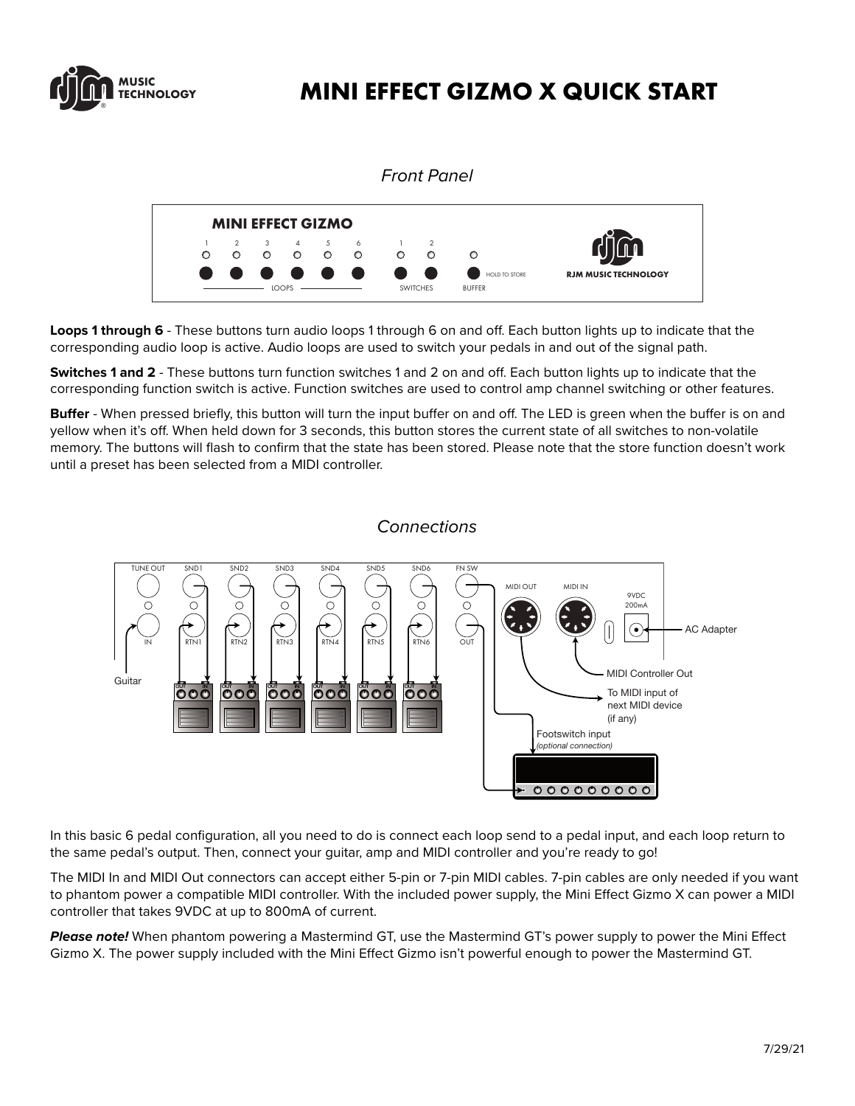

# **MINI EFFECT GIZMO X QUICK START**



**Loops 1 through 6** - These buttons turn audio loops 1 through 6 on and off. Each button lights up to indicate that the corresponding audio loop is active. Audio loops are used to switch your pedals in and out of the signal path.

**Switches 1 and 2** - These buttons turn function switches 1 and 2 on and off. Each button lights up to indicate that the corresponding function switch is active. Function switches are used to control amp channel switching or other features.

**Buffer** - When pressed briefly, this button will turn the input buffer on and off. The LED is green when the buffer is on and yellow when it's off. When held down for 3 seconds, this button stores the current state of all switches to non-volatile memory. The buttons will flash to confirm that the state has been stored. Please note that the store function doesn't work until a preset has been selected from a MIDI controller.



### *Connections*

In this basic 6 pedal configuration, all you need to do is connect each loop send to a pedal input, and each loop return to the same pedal's output. Then, connect your guitar, amp and MIDI controller and you're ready to go!

The MIDI In and MIDI Out connectors can accept either 5-pin or 7-pin MIDI cables. 7-pin cables are only needed if you want to phantom power a compatible MIDI controller. With the included power supply, the Mini Effect Gizmo X can power a MIDI controller that takes 9VDC at up to 800mA of current.  $T$  is is the stable state connection method,  $\frac{1}{2}$  per capital and  $\frac{1}{2}$  method.

*Please note!* When phantom powering a Mastermind GT, use the Mastermind GT's power supply to power the Mini Effect Gizmo X. The power supply included with the Mini Effect Gizmo isn't powerful enough to power the Mastermind GT.